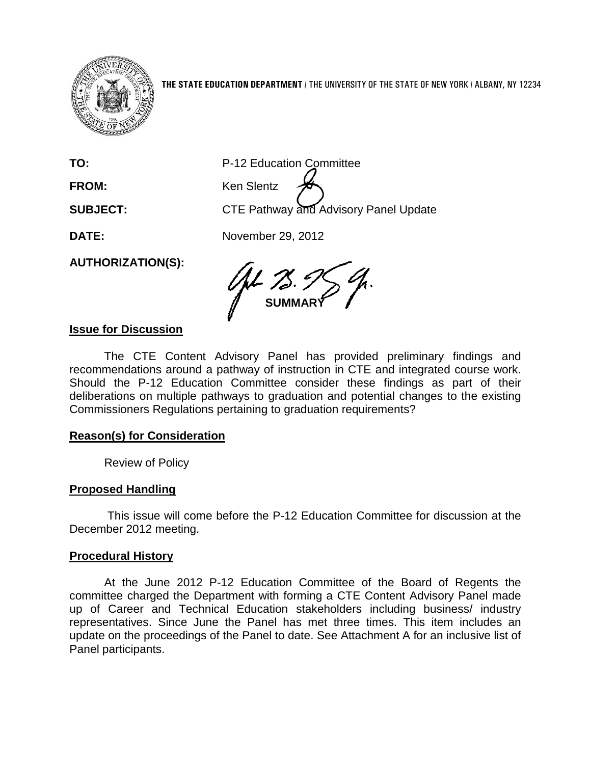

**THE STATE EDUCATION DEPARTMENT** / THE UNIVERSITY OF THE STATE OF NEW YORK / ALBANY, NY 12234

**TO:** P-12 Education Committee

FROM: Ken Slentz **SUBJECT:** CTE Pathway and Advisory Panel Update

**DATE:** November 29, 2012

**AUTHORIZATION(S):**

**SUMMARY**

# **Issue for Discussion**

The CTE Content Advisory Panel has provided preliminary findings and recommendations around a pathway of instruction in CTE and integrated course work. Should the P-12 Education Committee consider these findings as part of their deliberations on multiple pathways to graduation and potential changes to the existing Commissioners Regulations pertaining to graduation requirements?

# **Reason(s) for Consideration**

Review of Policy

# **Proposed Handling**

This issue will come before the P-12 Education Committee for discussion at the December 2012 meeting.

### **Procedural History**

At the June 2012 P-12 Education Committee of the Board of Regents the committee charged the Department with forming a CTE Content Advisory Panel made up of Career and Technical Education stakeholders including business/ industry representatives. Since June the Panel has met three times. This item includes an update on the proceedings of the Panel to date. See Attachment A for an inclusive list of Panel participants.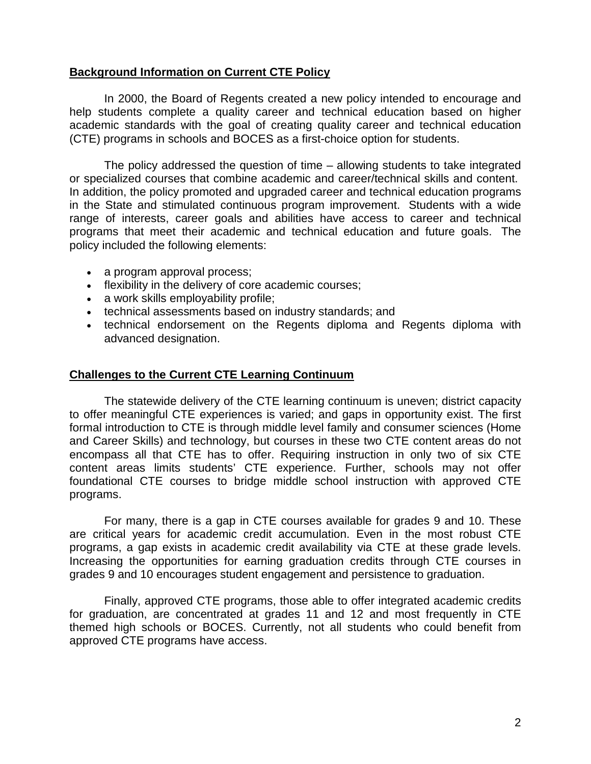### **Background Information on Current CTE Policy**

In 2000, the Board of Regents created a new policy intended to encourage and help students complete a quality career and technical education based on higher academic standards with the goal of creating quality career and technical education (CTE) programs in schools and BOCES as a first-choice option for students.

The policy addressed the question of time – allowing students to take integrated or specialized courses that combine academic and career/technical skills and content. In addition, the policy promoted and upgraded career and technical education programs in the State and stimulated continuous program improvement. Students with a wide range of interests, career goals and abilities have access to career and technical programs that meet their academic and technical education and future goals. The policy included the following elements:

- a program approval process;
- flexibility in the delivery of core academic courses;
- a work skills employability profile;
- technical assessments based on industry standards; and
- technical endorsement on the Regents diploma and Regents diploma with advanced designation.

### **Challenges to the Current CTE Learning Continuum**

The statewide delivery of the CTE learning continuum is uneven; district capacity to offer meaningful CTE experiences is varied; and gaps in opportunity exist. The first formal introduction to CTE is through middle level family and consumer sciences (Home and Career Skills) and technology, but courses in these two CTE content areas do not encompass all that CTE has to offer. Requiring instruction in only two of six CTE content areas limits students' CTE experience. Further, schools may not offer foundational CTE courses to bridge middle school instruction with approved CTE programs.

For many, there is a gap in CTE courses available for grades 9 and 10. These are critical years for academic credit accumulation. Even in the most robust CTE programs, a gap exists in academic credit availability via CTE at these grade levels. Increasing the opportunities for earning graduation credits through CTE courses in grades 9 and 10 encourages student engagement and persistence to graduation.

Finally, approved CTE programs, those able to offer integrated academic credits for graduation, are concentrated at grades 11 and 12 and most frequently in CTE themed high schools or BOCES. Currently, not all students who could benefit from approved CTE programs have access.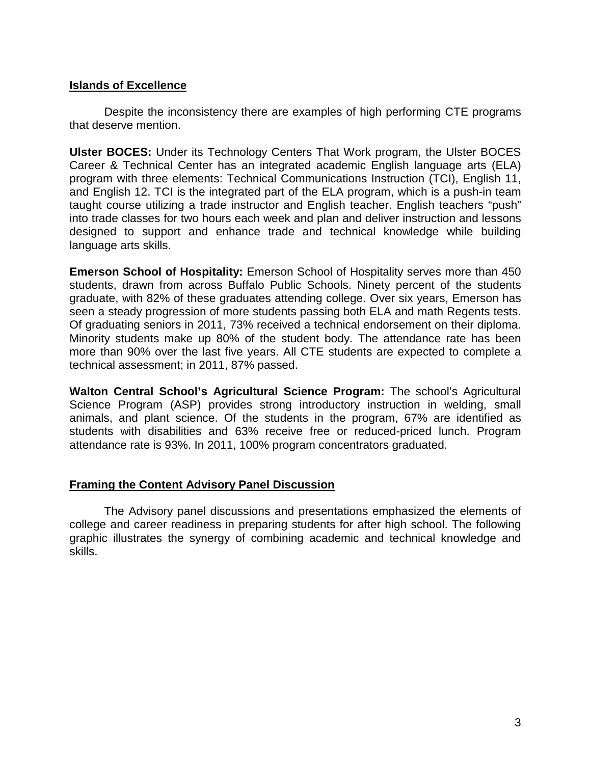### **Islands of Excellence**

Despite the inconsistency there are examples of high performing CTE programs that deserve mention.

**Ulster BOCES:** Under its Technology Centers That Work program, the Ulster BOCES Career & Technical Center has an integrated academic English language arts (ELA) program with three elements: Technical Communications Instruction (TCI), English 11, and English 12. TCI is the integrated part of the ELA program, which is a push-in team taught course utilizing a trade instructor and English teacher. English teachers "push" into trade classes for two hours each week and plan and deliver instruction and lessons designed to support and enhance trade and technical knowledge while building language arts skills.

**Emerson School of Hospitality:** Emerson School of Hospitality serves more than 450 students, drawn from across Buffalo Public Schools. Ninety percent of the students graduate, with 82% of these graduates attending college. Over six years, Emerson has seen a steady progression of more students passing both ELA and math Regents tests. Of graduating seniors in 2011, 73% received a technical endorsement on their diploma. Minority students make up 80% of the student body. The attendance rate has been more than 90% over the last five years. All CTE students are expected to complete a technical assessment; in 2011, 87% passed.

**Walton Central School's Agricultural Science Program:** The school's Agricultural Science Program (ASP) provides strong introductory instruction in welding, small animals, and plant science. Of the students in the program, 67% are identified as students with disabilities and 63% receive free or reduced-priced lunch. Program attendance rate is 93%. In 2011, 100% program concentrators graduated.

### **Framing the Content Advisory Panel Discussion**

The Advisory panel discussions and presentations emphasized the elements of college and career readiness in preparing students for after high school. The following graphic illustrates the synergy of combining academic and technical knowledge and skills.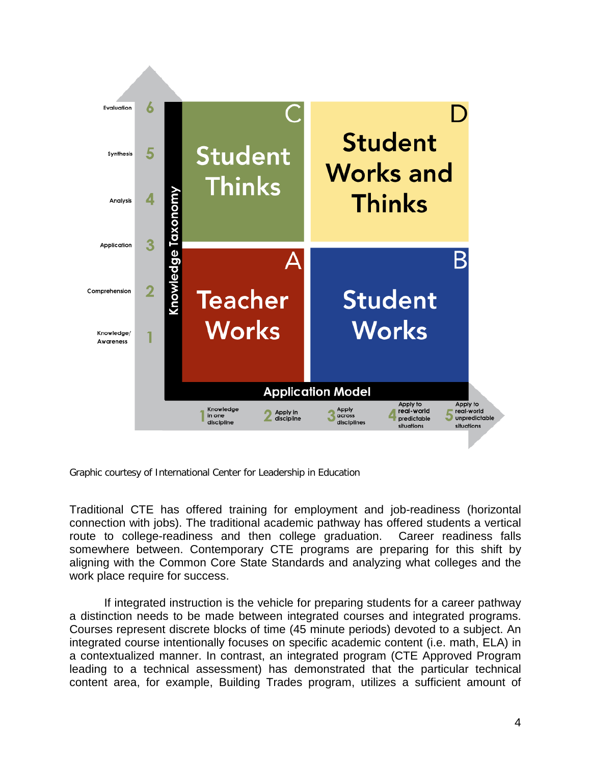

Graphic courtesy of International Center for Leadership in Education

Traditional CTE has offered training for employment and job-readiness (horizontal connection with jobs). The traditional academic pathway has offered students a vertical route to college-readiness and then college graduation. Career readiness falls somewhere between. Contemporary CTE programs are preparing for this shift by aligning with the Common Core State Standards and analyzing what colleges and the work place require for success.

If integrated instruction is the vehicle for preparing students for a career pathway a distinction needs to be made between integrated courses and integrated programs. Courses represent discrete blocks of time (45 minute periods) devoted to a subject. An integrated course intentionally focuses on specific academic content (i.e. math, ELA) in a contextualized manner. In contrast, an integrated program (CTE Approved Program leading to a technical assessment) has demonstrated that the particular technical content area, for example, Building Trades program, utilizes a sufficient amount of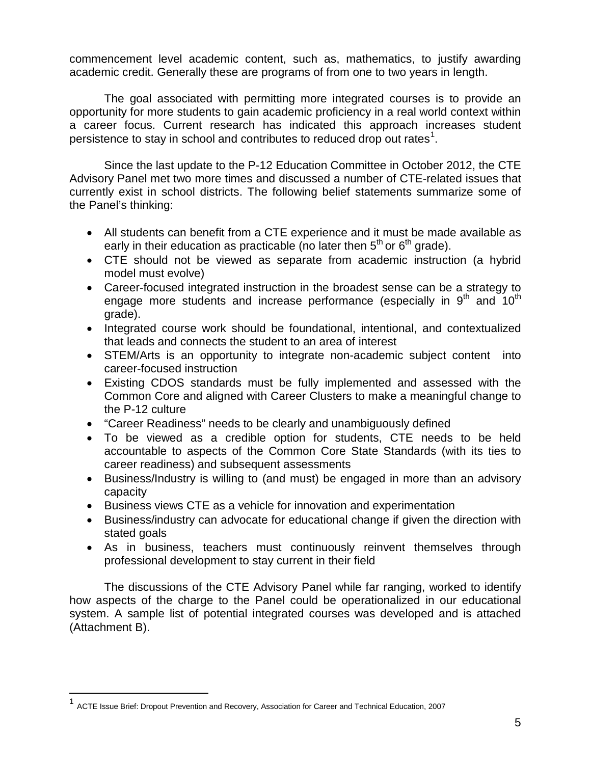commencement level academic content, such as, mathematics, to justify awarding academic credit. Generally these are programs of from one to two years in length.

The goal associated with permitting more integrated courses is to provide an opportunity for more students to gain academic proficiency in a real world context within a career focus. Current research has indicated this approach increases student persistence to stay in school and contributes to reduced drop out rates<sup>[1](#page-4-0)</sup>.

Since the last update to the P-12 Education Committee in October 2012, the CTE Advisory Panel met two more times and discussed a number of CTE-related issues that currently exist in school districts. The following belief statements summarize some of the Panel's thinking:

- All students can benefit from a CTE experience and it must be made available as early in their education as practicable (no later then  $5<sup>th</sup>$  or  $6<sup>th</sup>$  grade).
- CTE should not be viewed as separate from academic instruction (a hybrid model must evolve)
- Career-focused integrated instruction in the broadest sense can be a strategy to engage more students and increase performance (especially in  $9<sup>th</sup>$  and  $10<sup>th</sup>$ grade).
- Integrated course work should be foundational, intentional, and contextualized that leads and connects the student to an area of interest
- STEM/Arts is an opportunity to integrate non-academic subject content into career-focused instruction
- Existing CDOS standards must be fully implemented and assessed with the Common Core and aligned with Career Clusters to make a meaningful change to the P-12 culture
- "Career Readiness" needs to be clearly and unambiguously defined
- To be viewed as a credible option for students, CTE needs to be held accountable to aspects of the Common Core State Standards (with its ties to career readiness) and subsequent assessments
- Business/Industry is willing to (and must) be engaged in more than an advisory capacity
- Business views CTE as a vehicle for innovation and experimentation
- Business/industry can advocate for educational change if given the direction with stated goals
- As in business, teachers must continuously reinvent themselves through professional development to stay current in their field

The discussions of the CTE Advisory Panel while far ranging, worked to identify how aspects of the charge to the Panel could be operationalized in our educational system. A sample list of potential integrated courses was developed and is attached (Attachment B).

<span id="page-4-0"></span> <sup>1</sup> ACTE Issue Brief: Dropout Prevention and Recovery, Association for Career and Technical Education, 2007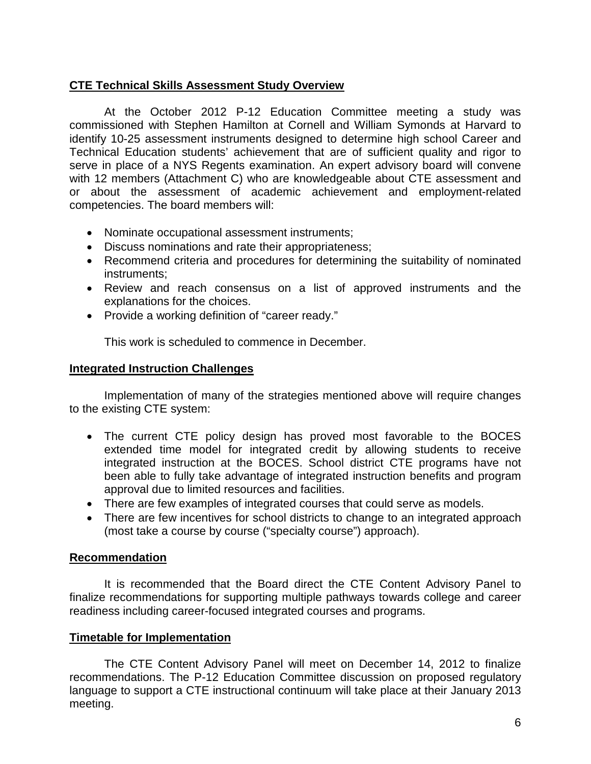## **CTE Technical Skills Assessment Study Overview**

At the October 2012 P-12 Education Committee meeting a study was commissioned with Stephen Hamilton at Cornell and William Symonds at Harvard to identify 10-25 assessment instruments designed to determine high school Career and Technical Education students' achievement that are of sufficient quality and rigor to serve in place of a NYS Regents examination. An expert advisory board will convene with 12 members (Attachment C) who are knowledgeable about CTE assessment and or about the assessment of academic achievement and employment-related competencies. The board members will:

- Nominate occupational assessment instruments;
- Discuss nominations and rate their appropriateness;
- Recommend criteria and procedures for determining the suitability of nominated instruments;
- Review and reach consensus on a list of approved instruments and the explanations for the choices.
- Provide a working definition of "career ready."

This work is scheduled to commence in December.

### **Integrated Instruction Challenges**

Implementation of many of the strategies mentioned above will require changes to the existing CTE system:

- The current CTE policy design has proved most favorable to the BOCES extended time model for integrated credit by allowing students to receive integrated instruction at the BOCES. School district CTE programs have not been able to fully take advantage of integrated instruction benefits and program approval due to limited resources and facilities.
- There are few examples of integrated courses that could serve as models.
- There are few incentives for school districts to change to an integrated approach (most take a course by course ("specialty course") approach).

### **Recommendation**

It is recommended that the Board direct the CTE Content Advisory Panel to finalize recommendations for supporting multiple pathways towards college and career readiness including career-focused integrated courses and programs.

### **Timetable for Implementation**

The CTE Content Advisory Panel will meet on December 14, 2012 to finalize recommendations. The P-12 Education Committee discussion on proposed regulatory language to support a CTE instructional continuum will take place at their January 2013 meeting.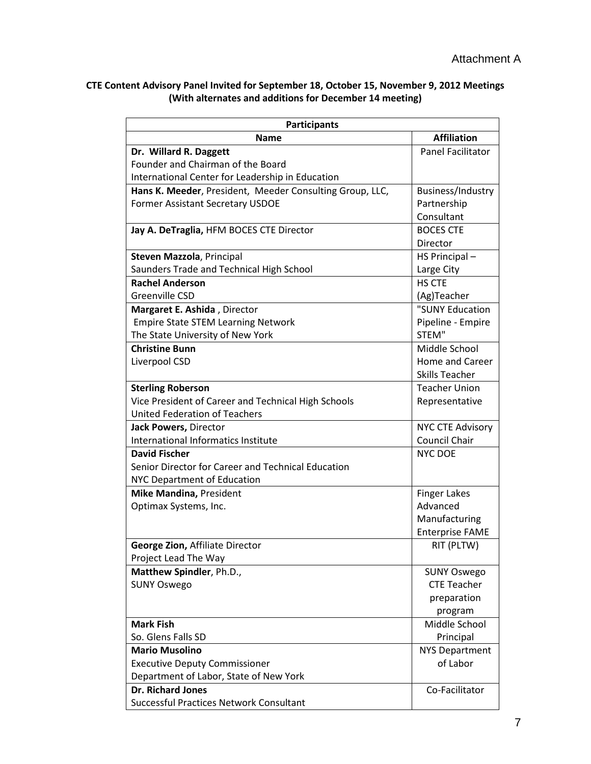### **CTE Content Advisory Panel Invited for September 18, October 15, November 9, 2012 Meetings (With alternates and additions for December 14 meeting)**

| <b>Participants</b>                                      |                          |  |  |  |  |
|----------------------------------------------------------|--------------------------|--|--|--|--|
| <b>Name</b>                                              | <b>Affiliation</b>       |  |  |  |  |
| Dr. Willard R. Daggett                                   | <b>Panel Facilitator</b> |  |  |  |  |
| Founder and Chairman of the Board                        |                          |  |  |  |  |
| International Center for Leadership in Education         |                          |  |  |  |  |
| Hans K. Meeder, President, Meeder Consulting Group, LLC, | Business/Industry        |  |  |  |  |
| <b>Former Assistant Secretary USDOE</b>                  | Partnership              |  |  |  |  |
|                                                          | Consultant               |  |  |  |  |
| Jay A. DeTraglia, HFM BOCES CTE Director                 | <b>BOCES CTE</b>         |  |  |  |  |
|                                                          | Director                 |  |  |  |  |
| Steven Mazzola, Principal                                | HS Principal-            |  |  |  |  |
| Saunders Trade and Technical High School                 | Large City               |  |  |  |  |
| <b>Rachel Anderson</b>                                   | <b>HS CTE</b>            |  |  |  |  |
| Greenville CSD                                           | (Ag)Teacher              |  |  |  |  |
| Margaret E. Ashida, Director                             | "SUNY Education          |  |  |  |  |
| <b>Empire State STEM Learning Network</b>                | Pipeline - Empire        |  |  |  |  |
| The State University of New York                         | STEM"                    |  |  |  |  |
| <b>Christine Bunn</b>                                    | Middle School            |  |  |  |  |
| Liverpool CSD                                            | <b>Home and Career</b>   |  |  |  |  |
|                                                          | <b>Skills Teacher</b>    |  |  |  |  |
| <b>Sterling Roberson</b>                                 | <b>Teacher Union</b>     |  |  |  |  |
| Vice President of Career and Technical High Schools      | Representative           |  |  |  |  |
| <b>United Federation of Teachers</b>                     |                          |  |  |  |  |
| Jack Powers, Director                                    | <b>NYC CTE Advisory</b>  |  |  |  |  |
| International Informatics Institute                      | <b>Council Chair</b>     |  |  |  |  |
| <b>David Fischer</b>                                     | <b>NYC DOE</b>           |  |  |  |  |
| Senior Director for Career and Technical Education       |                          |  |  |  |  |
| NYC Department of Education                              |                          |  |  |  |  |
| Mike Mandina, President                                  | <b>Finger Lakes</b>      |  |  |  |  |
| Optimax Systems, Inc.                                    | Advanced                 |  |  |  |  |
|                                                          | Manufacturing            |  |  |  |  |
|                                                          | <b>Enterprise FAME</b>   |  |  |  |  |
| George Zion, Affiliate Director                          | RIT (PLTW)               |  |  |  |  |
| Project Lead The Way                                     |                          |  |  |  |  |
| Matthew Spindler, Ph.D.,                                 | <b>SUNY Oswego</b>       |  |  |  |  |
| <b>SUNY Oswego</b>                                       | <b>CTE Teacher</b>       |  |  |  |  |
|                                                          | preparation              |  |  |  |  |
|                                                          | program                  |  |  |  |  |
| <b>Mark Fish</b>                                         | Middle School            |  |  |  |  |
| So. Glens Falls SD                                       | Principal                |  |  |  |  |
| <b>Mario Musolino</b>                                    | <b>NYS Department</b>    |  |  |  |  |
| <b>Executive Deputy Commissioner</b>                     | of Labor                 |  |  |  |  |
| Department of Labor, State of New York                   |                          |  |  |  |  |
| <b>Dr. Richard Jones</b>                                 | Co-Facilitator           |  |  |  |  |
| <b>Successful Practices Network Consultant</b>           |                          |  |  |  |  |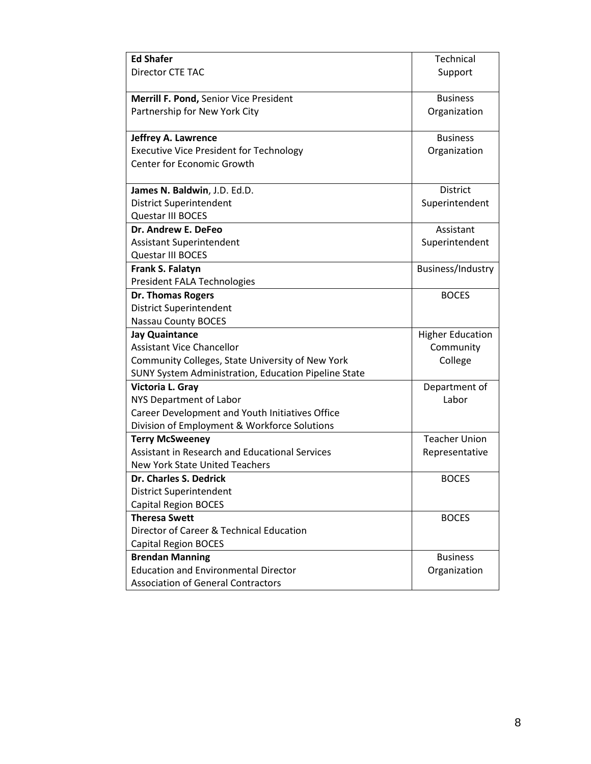| <b>Ed Shafer</b>                                     | Technical               |
|------------------------------------------------------|-------------------------|
| <b>Director CTE TAC</b>                              | Support                 |
|                                                      |                         |
| Merrill F. Pond, Senior Vice President               | <b>Business</b>         |
| Partnership for New York City                        | Organization            |
|                                                      |                         |
| Jeffrey A. Lawrence                                  | <b>Business</b>         |
| <b>Executive Vice President for Technology</b>       | Organization            |
| <b>Center for Economic Growth</b>                    |                         |
|                                                      |                         |
| James N. Baldwin, J.D. Ed.D.                         | <b>District</b>         |
| <b>District Superintendent</b>                       | Superintendent          |
| Questar III BOCES                                    |                         |
| Dr. Andrew E. DeFeo                                  | Assistant               |
| <b>Assistant Superintendent</b>                      | Superintendent          |
| Questar III BOCES                                    |                         |
| Frank S. Falatyn                                     | Business/Industry       |
| President FALA Technologies                          |                         |
| <b>Dr. Thomas Rogers</b>                             | <b>BOCES</b>            |
| <b>District Superintendent</b>                       |                         |
| <b>Nassau County BOCES</b>                           |                         |
| <b>Jay Quaintance</b>                                | <b>Higher Education</b> |
| <b>Assistant Vice Chancellor</b>                     | Community               |
| Community Colleges, State University of New York     | College                 |
| SUNY System Administration, Education Pipeline State |                         |
| Victoria L. Gray                                     | Department of           |
| NYS Department of Labor                              | Labor                   |
| Career Development and Youth Initiatives Office      |                         |
| Division of Employment & Workforce Solutions         |                         |
| <b>Terry McSweeney</b>                               | <b>Teacher Union</b>    |
| Assistant in Research and Educational Services       | Representative          |
| New York State United Teachers                       |                         |
| Dr. Charles S. Dedrick                               | <b>BOCES</b>            |
| <b>District Superintendent</b>                       |                         |
| <b>Capital Region BOCES</b>                          |                         |
| <b>Theresa Swett</b>                                 | <b>BOCES</b>            |
| Director of Career & Technical Education             |                         |
| <b>Capital Region BOCES</b>                          |                         |
| <b>Brendan Manning</b>                               | <b>Business</b>         |
| <b>Education and Environmental Director</b>          | Organization            |
| <b>Association of General Contractors</b>            |                         |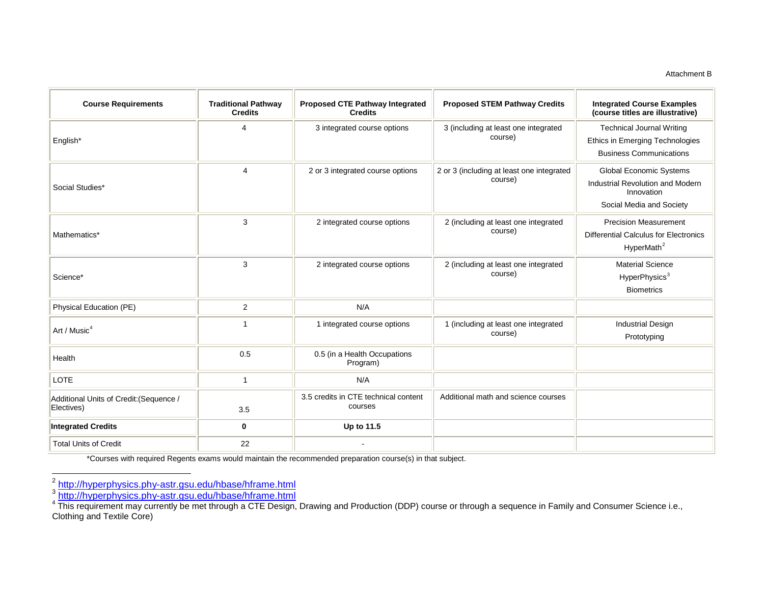#### <span id="page-8-2"></span><span id="page-8-1"></span><span id="page-8-0"></span>Attachment B

| <b>Course Requirements</b>                            | <b>Traditional Pathway</b><br><b>Credits</b> | Proposed CTE Pathway Integrated<br><b>Credits</b> | <b>Proposed STEM Pathway Credits</b>                 | <b>Integrated Course Examples</b><br>(course titles are illustrative)                                  |
|-------------------------------------------------------|----------------------------------------------|---------------------------------------------------|------------------------------------------------------|--------------------------------------------------------------------------------------------------------|
| English*                                              | Δ                                            | 3 integrated course options                       | 3 (including at least one integrated<br>course)      | <b>Technical Journal Writing</b><br>Ethics in Emerging Technologies                                    |
|                                                       |                                              |                                                   |                                                      | <b>Business Communications</b>                                                                         |
| Social Studies*                                       | 4                                            | 2 or 3 integrated course options                  | 2 or 3 (including at least one integrated<br>course) | Global Economic Systems<br>Industrial Revolution and Modern<br>Innovation<br>Social Media and Society  |
| Mathematics*                                          | 3                                            | 2 integrated course options                       | 2 (including at least one integrated<br>course)      | <b>Precision Measurement</b><br><b>Differential Calculus for Electronics</b><br>HyperMath <sup>2</sup> |
| Science*                                              | 3                                            | 2 integrated course options                       | 2 (including at least one integrated<br>course)      | <b>Material Science</b><br>HyperPhysics <sup>3</sup><br><b>Biometrics</b>                              |
| Physical Education (PE)                               | $\overline{2}$                               | N/A                                               |                                                      |                                                                                                        |
| Art / Music <sup>4</sup>                              | 1                                            | 1 integrated course options                       | 1 (including at least one integrated<br>course)      | <b>Industrial Design</b><br>Prototyping                                                                |
| Health                                                | 0.5                                          | 0.5 (in a Health Occupations<br>Program)          |                                                      |                                                                                                        |
| LOTE                                                  | 1                                            | N/A                                               |                                                      |                                                                                                        |
| Additional Units of Credit: (Sequence /<br>Electives) | 3.5                                          | 3.5 credits in CTE technical content<br>courses   | Additional math and science courses                  |                                                                                                        |
| <b>Integrated Credits</b>                             | $\bf{0}$                                     | Up to 11.5                                        |                                                      |                                                                                                        |
| <b>Total Units of Credit</b>                          | 22                                           |                                                   |                                                      |                                                                                                        |

\*Courses with required Regents exams would maintain the recommended preparation course(s) in that subject.

<sup>2&</sup>lt;br>3 <u><http://hyperphysics.phy-astr.gsu.edu/hbase/hframe.html></u><br><sup>4</sup> This requirement may currently be met through a CTE Design, Drawing and Production (DDP) course or through a sequence in Family and Consumer Science i.e., Clothing and Textile Core)